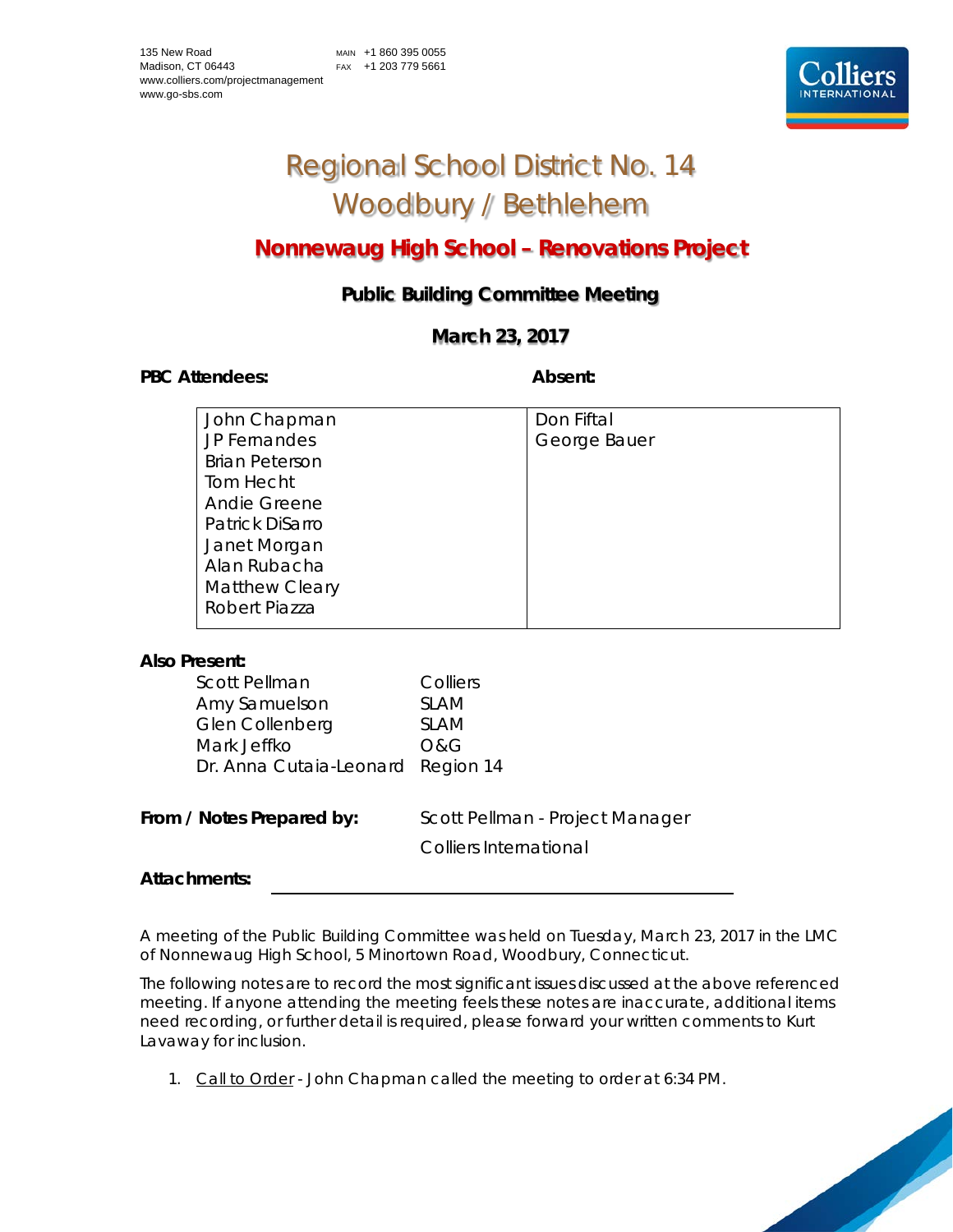

# Regional School District No. 14 Woodbury / Bethlehem

# **Nonnewaug High School – Renovations Project**

# **Public Building Committee Meeting**

## **March 23, 2017**

PBC Attendees: **Absent: Absent: Absent: Absent:** 

| John Chapman          | Don Fiftal   |
|-----------------------|--------------|
| JP Fernandes          | George Bauer |
| <b>Brian Peterson</b> |              |
| Tom Hecht             |              |
| <b>Andie Greene</b>   |              |
| Patrick DiSarro       |              |
| Janet Morgan          |              |
| Alan Rubacha          |              |
| <b>Matthew Cleary</b> |              |
| Robert Piazza         |              |
|                       |              |

### **Also Present:**

| <b>Scott Pellman</b>              | Colliers                        |
|-----------------------------------|---------------------------------|
| Amy Samuelson                     | <b>SLAM</b>                     |
| Glen Collenberg                   | <b>SLAM</b>                     |
| Mark Jeffko                       | <b>O&amp;G</b>                  |
| Dr. Anna Cutaia-Leonard Region 14 |                                 |
|                                   |                                 |
| From / Notes Prepared by:         | Scott Pellman - Project Manager |
|                                   | <b>Colliers International</b>   |

### **Attachments:**

A meeting of the Public Building Committee was held on Tuesday, March 23, 2017 in the LMC of Nonnewaug High School, 5 Minortown Road, Woodbury, Connecticut.

The following notes are to record the most significant issues discussed at the above referenced meeting. If anyone attending the meeting feels these notes are inaccurate, additional items need recording, or further detail is required, please forward your written comments to Kurt Lavaway for inclusion.

1. Call to Order - John Chapman called the meeting to order at 6:34 PM.